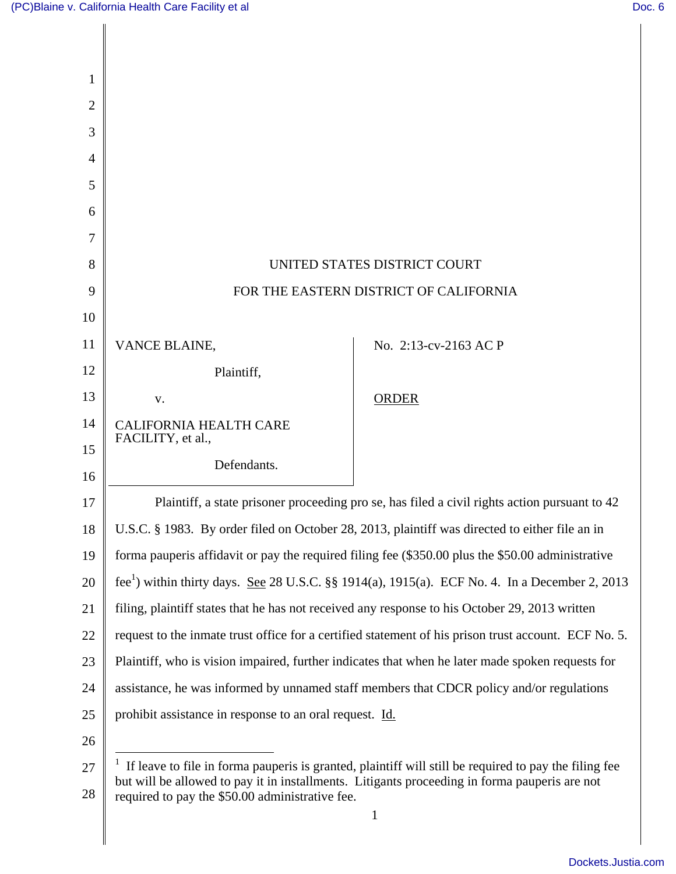| 1              |                                                                                                                                                                                                            |                       |
|----------------|------------------------------------------------------------------------------------------------------------------------------------------------------------------------------------------------------------|-----------------------|
| $\overline{2}$ |                                                                                                                                                                                                            |                       |
| 3              |                                                                                                                                                                                                            |                       |
| $\overline{A}$ |                                                                                                                                                                                                            |                       |
| 5              |                                                                                                                                                                                                            |                       |
| 6              |                                                                                                                                                                                                            |                       |
| 7              |                                                                                                                                                                                                            |                       |
| 8              | UNITED STATES DISTRICT COURT                                                                                                                                                                               |                       |
| 9              | FOR THE EASTERN DISTRICT OF CALIFORNIA                                                                                                                                                                     |                       |
| 10             |                                                                                                                                                                                                            |                       |
| 11             | VANCE BLAINE,                                                                                                                                                                                              | No. 2:13-cv-2163 AC P |
| 12             | Plaintiff,                                                                                                                                                                                                 |                       |
| 13             | V.                                                                                                                                                                                                         | <b>ORDER</b>          |
| 14             | <b>CALIFORNIA HEALTH CARE</b>                                                                                                                                                                              |                       |
| 15             | FACILITY, et al.,                                                                                                                                                                                          |                       |
| 16             | Defendants.                                                                                                                                                                                                |                       |
| 17             | Plaintiff, a state prisoner proceeding pro se, has filed a civil rights action pursuant to 42                                                                                                              |                       |
| 18             | U.S.C. § 1983. By order filed on October 28, 2013, plaintiff was directed to either file an in                                                                                                             |                       |
| 19             | forma pauperis affidavit or pay the required filing fee (\$350.00 plus the \$50.00 administrative                                                                                                          |                       |
| 20             | fee <sup>1</sup> ) within thirty days. <u>See</u> 28 U.S.C. §§ 1914(a), 1915(a). ECF No. 4. In a December 2, 2013                                                                                          |                       |
| 21             | filing, plaintiff states that he has not received any response to his October 29, 2013 written                                                                                                             |                       |
| 22             | request to the inmate trust office for a certified statement of his prison trust account. ECF No. 5.                                                                                                       |                       |
| 23             | Plaintiff, who is vision impaired, further indicates that when he later made spoken requests for                                                                                                           |                       |
| 24             | assistance, he was informed by unnamed staff members that CDCR policy and/or regulations                                                                                                                   |                       |
| 25             | prohibit assistance in response to an oral request. Id.                                                                                                                                                    |                       |
| 26             |                                                                                                                                                                                                            |                       |
| 27             | $1$ If leave to file in forma pauperis is granted, plaintiff will still be required to pay the filing fee<br>but will be allowed to pay it in installments. Litigants proceeding in forma pauperis are not |                       |
| 28             | required to pay the \$50.00 administrative fee.                                                                                                                                                            |                       |
|                |                                                                                                                                                                                                            | 1                     |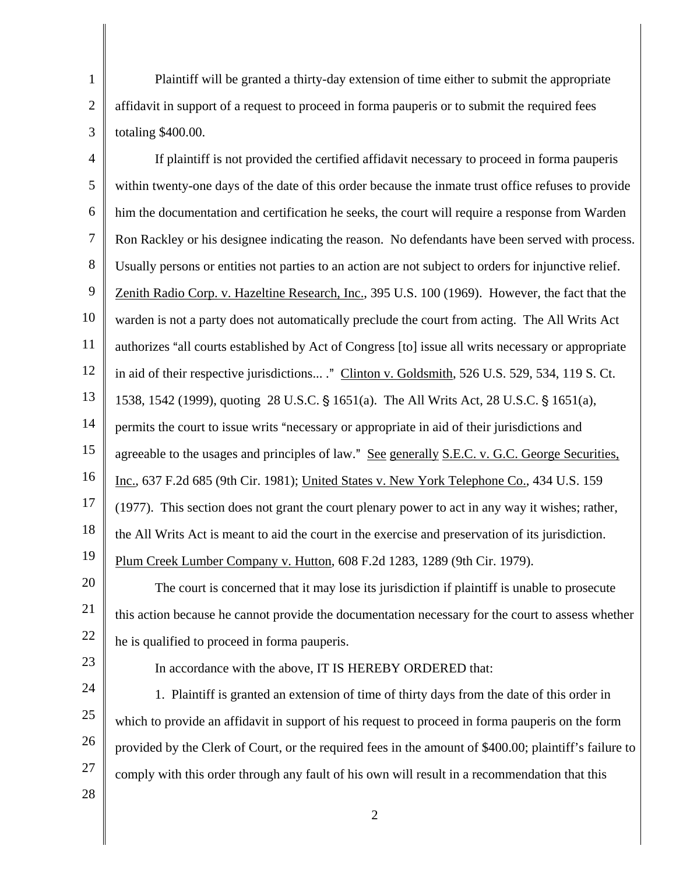1 2 3 Plaintiff will be granted a thirty-day extension of time either to submit the appropriate affidavit in support of a request to proceed in forma pauperis or to submit the required fees totaling \$400.00.

4 5 6 7 8 9 10 11 12 13 14 15 16 17 18 19 20 If plaintiff is not provided the certified affidavit necessary to proceed in forma pauperis within twenty-one days of the date of this order because the inmate trust office refuses to provide him the documentation and certification he seeks, the court will require a response from Warden Ron Rackley or his designee indicating the reason. No defendants have been served with process. Usually persons or entities not parties to an action are not subject to orders for injunctive relief. Zenith Radio Corp. v. Hazeltine Research, Inc., 395 U.S. 100 (1969). However, the fact that the warden is not a party does not automatically preclude the court from acting. The All Writs Act authorizes "all courts established by Act of Congress [to] issue all writs necessary or appropriate in aid of their respective jurisdictions... ." Clinton v. Goldsmith, 526 U.S. 529, 534, 119 S. Ct. 1538, 1542 (1999), quoting 28 U.S.C. § 1651(a). The All Writs Act, 28 U.S.C. § 1651(a), permits the court to issue writs "necessary or appropriate in aid of their jurisdictions and agreeable to the usages and principles of law." See generally S.E.C. v. G.C. George Securities, Inc., 637 F.2d 685 (9th Cir. 1981); United States v. New York Telephone Co., 434 U.S. 159 (1977). This section does not grant the court plenary power to act in any way it wishes; rather, the All Writs Act is meant to aid the court in the exercise and preservation of its jurisdiction. Plum Creek Lumber Company v. Hutton, 608 F.2d 1283, 1289 (9th Cir. 1979).

21 22 The court is concerned that it may lose its jurisdiction if plaintiff is unable to prosecute this action because he cannot provide the documentation necessary for the court to assess whether he is qualified to proceed in forma pauperis.

23

25

In accordance with the above, IT IS HEREBY ORDERED that:

24 26 1. Plaintiff is granted an extension of time of thirty days from the date of this order in which to provide an affidavit in support of his request to proceed in forma pauperis on the form provided by the Clerk of Court, or the required fees in the amount of \$400.00; plaintiff's failure to comply with this order through any fault of his own will result in a recommendation that this

28

27